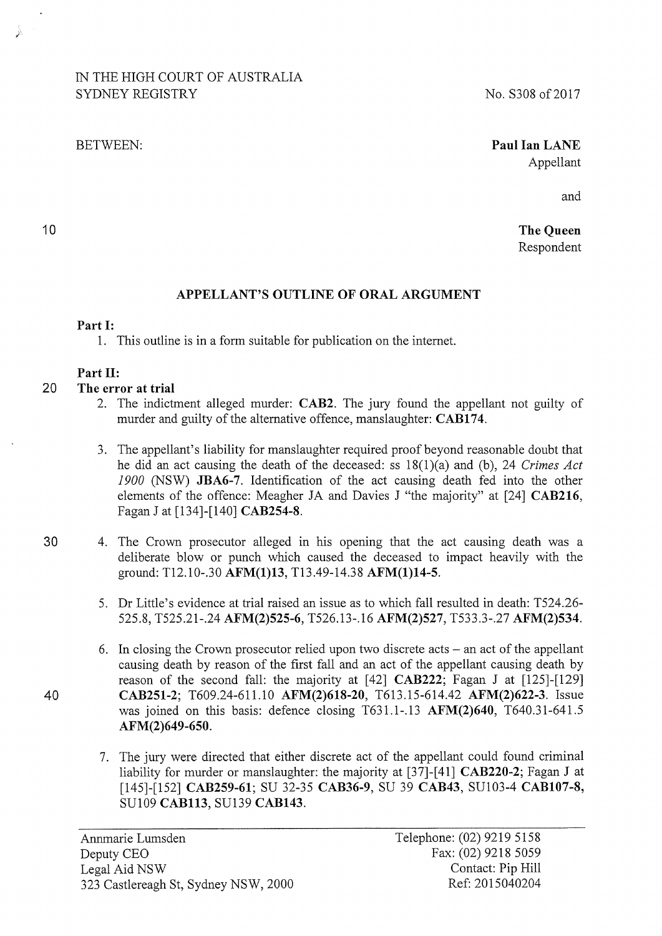# IN THE HIGH COURT OF AUSTRALIA SYDNEY REGISTRY

#### BETWEEN:

## **Paul Ian LANE**  Appellant

and

**The Queen**  Respondent

# **APPELLANT'S OUTLINE OF ORAL ARGUMENT**

### **Part 1:**

10

1. This outline is in a form suitable for publication on the intemet.

## **Part 11:**

### 20 **The error at trial**

- 2. The indictment alleged murder: **CAB2.** The jury found the appellant not guilty of murder and guilty of the alternative offence, manslaughter: **CAB174.**
- 3. The appellant's liability for manslaughter required proof beyond reasonable doubt that he did an act causing the death of the deceased: ss 18(1 )(a) and (b), 24 *Crimes Act*  1900 (NSW) **JBA6-7.** Identification of the act causing death fed into the other elements of the offence: Meagher JA and Davies J "the majority" at [24] **CAB216,**  Fagan J at [134]-[140] **CAB254-8.**
- 30 4. The Crown prosecutor alleged in his opening that the act causing death was a deliberate blow or punch which caused the deceased to impact heavily with the ground: Tl2.10-.30 **AFM(1)13,** Tl3.49-14.38 **AFM(1)14-5.** 
	- 5. Dr Little's evidence at trial raised an issue as to which fall resulted in death: T524.26- 525.8, T525.21-.24 **AFM(2)525-6,** T526.13-.16 **AFM(2)527,** T533.3-.27 **AFM(2)534.**
- 6. In closing the Crown prosecutor relied upon two discrete acts  $-$  an act of the appellant causing death by reason of the first fall and an act of the appellant causing death by reason of the second fall: the majority at [42] **CAB222;** Fagan J at [125]-[129] **40 CAB251-2;** T609.24-611.10 **AFM(2)618-20,** T613.15-614.42 **AFM(2)622-3.** Issue was joined on this basis: defence closing T631.1-.13 **AFM(2)640,** T640.31-641.5 **AFM(2)649-650.** 
	- 7. The jury were directed that either discrete act of the appellant could found criminal liability for murder or manslaughter: the majority at [37]-[41] **CAB220-2;** Fagan J at [145]-[152] **CAB259-61;** SU 32-35 **CAB36-9,** SU 39 **CAB43,** SU103-4 **CAB107-8,**  SU109 **CAB113,** SU139 **CAB143.**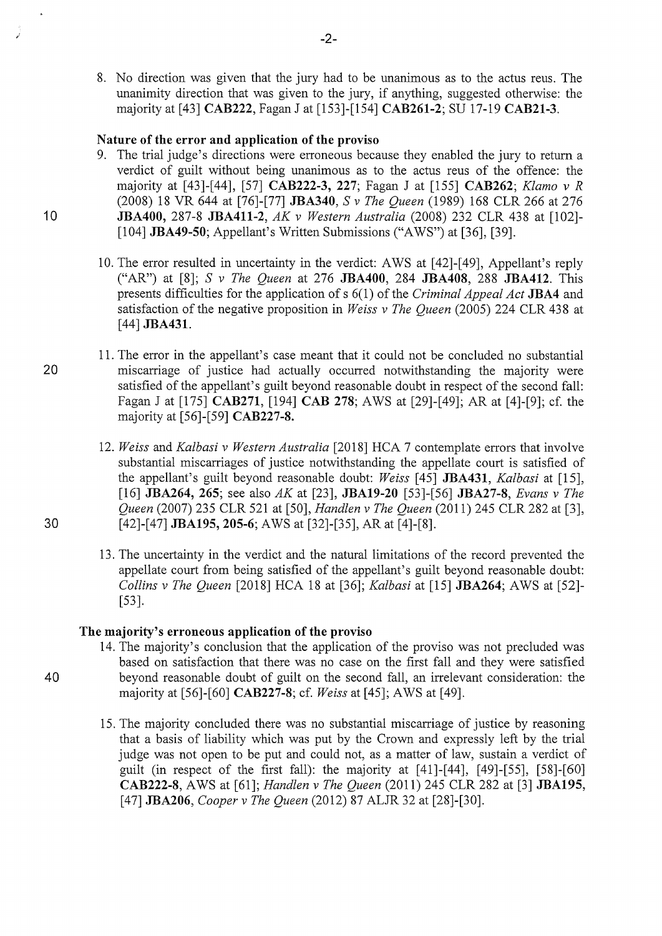8. No direction was given that the jury had to be unanimous as to the actus reus. The unanimity direction that was given to the jury, if anything, suggested otherwise: the majority at [43] **CAB222,** Fagan J at [153]-[154] **CAB261-2;** SU 17-19 **CAB21-3.** 

#### **Nature of the error and application of the proviso**

- 9. The trial judge's directions were erroneous because they enabled the jury to return a verdict of guilt without being unanimous as to the actus reus of the offence: the majority at [43]-[44], [57] **CAB222-3, 227;** Fagan J at [155] **CAB262;** *Klamo v R*  (2008) 18 VR 644 at [76]-[77] **JBA340,** S *v The Queen* (1989) 168 CLR 266 at 276 10 **JBA400,** 287-8 **JBA411-2,** *AK v Western Australia* (2008) 232 CLR 438 at [102]- [104] **JBA49-50;** Appellant's Written Submissions ("AWS") at [36], [39].
	- 10. The error resulted in uncertainty in the verdict: AWS at [42]-[49], Appellant's reply ("AR") at [8]; S *v The Queen* at 276 **JBA400,** 284 **JBA408,** 288 **JBA412.** This presents difficulties for the application of s 6(1) of the *Criminal Appeal Act* **JBA4** and satisfaction of the negative proposition in *Weiss v The Queen* (2005) 224 CLR 438 at [44] **JBA431.**
- 11. The error in the appellant's case meant that it could not be concluded no substantial 20 miscarriage of justice had actually occurred notwithstanding the majority were satisfied of the appellant's guilt beyond reasonable doubt in respect of the second fall: Fagan J at [175] **CAB271,** [194] **CAB 278;** AWS at [29]-[49]; AR at [4]-[9]; cf. the majority at [56]-[59] **CAB227-8.**
- 12. *Weiss* and *Kalbasi v Western Australia* [2018] HCA 7 contemplate errors that involve substantial miscarriages of justice notwithstanding the appellate court is satisfied of the appellant's guilt beyond reasonable doubt: *Weiss* [45] **JBA431,** *Kalbasi* at [15], [16] **JBA264, 265;** see also *AK* at [23], **JBA19-20** [53]-[56] **JBA27-8,** *Evans v The Queen* (2007) 235 CLR 521 at [50], *Handlen v The Queen* (2011) 245 CLR 282 at [3], 30 [ 42]-[ 4 7] **JBA195, 205-6;** A WS at [32]-[35], AR at [ 4]-[8].
	- 13. The uncertainty in the verdict and the natural limitations of the record prevented the appellate court from being satisfied of the appellant's guilt beyond reasonable doubt: *Collins v The Queen* [2018] HCA 18 at [36]; *Kalbasi* at [15] **JBA264;** AWS at [52]- [53].

### **The majority's erroneous application of the proviso**

- 14. The majority's conclusion that the application of the proviso was not precluded was based on satisfaction that there was no case on the first fall and they were satisfied 40 beyond reasonable doubt of guilt on the second fall, an irrelevant consideration: the majority at [56]-[60] **CAB227-8;** cf. *Weiss* at [ 45]; A WS at [ 49].
	- 15. The majority concluded there was no substantial miscarriage of justice by reasoning that a basis of liability which was put by the Crown and expressly left by the trial judge was not open to be put and could not, as a matter of law, sustain a verdict of guilt (in respect of the first fall): the majority at [41]-[44], [49]-[55], [58]-[60] **CAB222-8,** AWS at [61]; *Handlen v The Queen* (2011) 245 CLR 282 at [3] **JBA195,**  [47] **JBA206,** *Cooper v The Queen* (2012) 87 ALJR 32 at [28]-[30].